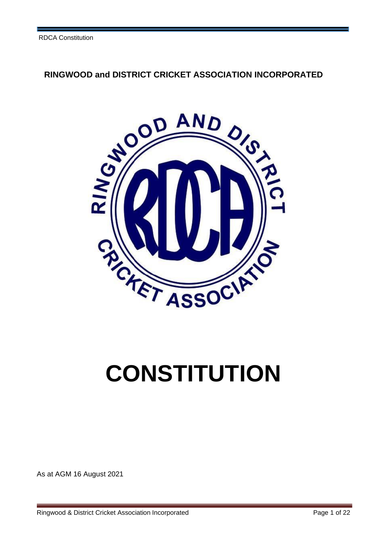# **RINGWOOD and DISTRICT CRICKET ASSOCIATION INCORPORATED**



# **CONSTITUTION**

As at AGM 16 August 2021

Ringwood & District Cricket Association Incorporated Page 1 of 22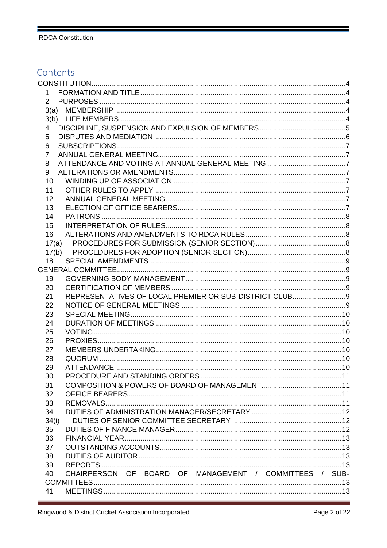# Contents

| 1        |                                                         |  |
|----------|---------------------------------------------------------|--|
|          |                                                         |  |
|          |                                                         |  |
|          |                                                         |  |
| 4        |                                                         |  |
| 5        |                                                         |  |
| 6        |                                                         |  |
| 7        |                                                         |  |
| 8        |                                                         |  |
| 9        |                                                         |  |
| 10       |                                                         |  |
| 11       |                                                         |  |
| 12       |                                                         |  |
| 13       |                                                         |  |
| 14       |                                                         |  |
| 15       |                                                         |  |
| 16       |                                                         |  |
| 17(a)    |                                                         |  |
|          |                                                         |  |
| 18       |                                                         |  |
|          |                                                         |  |
| 19       |                                                         |  |
| 20       | REPRESENTATIVES OF LOCAL PREMIER OR SUB-DISTRICT CLUB 9 |  |
| 21       |                                                         |  |
| 22<br>23 |                                                         |  |
| 24       |                                                         |  |
| 25       |                                                         |  |
| 26       |                                                         |  |
| 27       |                                                         |  |
| 28       |                                                         |  |
| 29       |                                                         |  |
| 30       |                                                         |  |
| 31       |                                                         |  |
| 32       |                                                         |  |
| 33       |                                                         |  |
| 34       |                                                         |  |
| 34(i)    |                                                         |  |
| 35       |                                                         |  |
| 36       |                                                         |  |
| 37       |                                                         |  |
| 38       |                                                         |  |
| 39       |                                                         |  |
| 40       | CHAIRPERSON OF BOARD OF MANAGEMENT / COMMITTEES / SUB-  |  |
|          |                                                         |  |
| 41       |                                                         |  |

f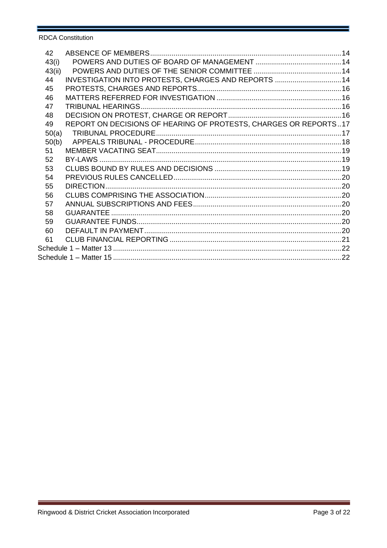| 42     |                                                                  |  |  |
|--------|------------------------------------------------------------------|--|--|
| 43(i)  |                                                                  |  |  |
| 43(ii) |                                                                  |  |  |
| 44     | INVESTIGATION INTO PROTESTS, CHARGES AND REPORTS  14             |  |  |
| 45     |                                                                  |  |  |
| 46     |                                                                  |  |  |
| 47     |                                                                  |  |  |
| 48     |                                                                  |  |  |
| 49     | REPORT ON DECISIONS OF HEARING OF PROTESTS, CHARGES OR REPORTS17 |  |  |
| 50(a)  |                                                                  |  |  |
| 50(b)  |                                                                  |  |  |
| 51     |                                                                  |  |  |
| 52     |                                                                  |  |  |
| 53     |                                                                  |  |  |
| 54     |                                                                  |  |  |
| 55     |                                                                  |  |  |
| 56     |                                                                  |  |  |
| 57     |                                                                  |  |  |
| 58     |                                                                  |  |  |
| 59     |                                                                  |  |  |
| 60     |                                                                  |  |  |
| 61     |                                                                  |  |  |
|        |                                                                  |  |  |
|        |                                                                  |  |  |

ï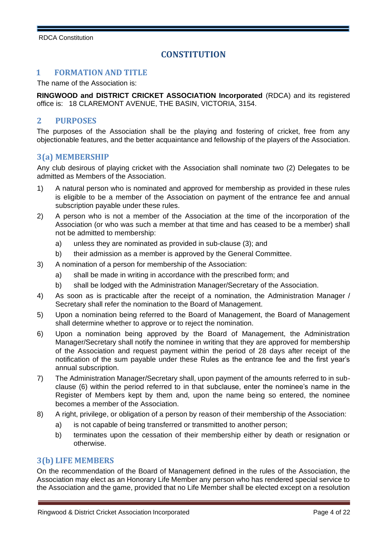# **CONSTITUTION**

#### **1 FORMATION AND TITLE**

The name of the Association is:

**RINGWOOD and DISTRICT CRICKET ASSOCIATION Incorporated** (RDCA) and its registered office is: 18 CLAREMONT AVENUE, THE BASIN, VICTORIA, 3154.

## **2 PURPOSES**

The purposes of the Association shall be the playing and fostering of cricket, free from any objectionable features, and the better acquaintance and fellowship of the players of the Association.

# **3(a) MEMBERSHIP**

Any club desirous of playing cricket with the Association shall nominate two (2) Delegates to be admitted as Members of the Association.

- 1) A natural person who is nominated and approved for membership as provided in these rules is eligible to be a member of the Association on payment of the entrance fee and annual subscription payable under these rules.
- 2) A person who is not a member of the Association at the time of the incorporation of the Association (or who was such a member at that time and has ceased to be a member) shall not be admitted to membership:
	- a) unless they are nominated as provided in sub-clause (3); and
	- b) their admission as a member is approved by the General Committee.
- 3) A nomination of a person for membership of the Association:
	- a) shall be made in writing in accordance with the prescribed form; and
	- b) shall be lodged with the Administration Manager/Secretary of the Association.
- 4) As soon as is practicable after the receipt of a nomination, the Administration Manager / Secretary shall refer the nomination to the Board of Management.
- 5) Upon a nomination being referred to the Board of Management, the Board of Management shall determine whether to approve or to reject the nomination.
- 6) Upon a nomination being approved by the Board of Management, the Administration Manager/Secretary shall notify the nominee in writing that they are approved for membership of the Association and request payment within the period of 28 days after receipt of the notification of the sum payable under these Rules as the entrance fee and the first year's annual subscription.
- 7) The Administration Manager/Secretary shall, upon payment of the amounts referred to in subclause (6) within the period referred to in that subclause, enter the nominee's name in the Register of Members kept by them and, upon the name being so entered, the nominee becomes a member of the Association.
- 8) A right, privilege, or obligation of a person by reason of their membership of the Association:
	- a) is not capable of being transferred or transmitted to another person;
	- b) terminates upon the cessation of their membership either by death or resignation or otherwise.

#### **3(b) LIFE MEMBERS**

On the recommendation of the Board of Management defined in the rules of the Association, the Association may elect as an Honorary Life Member any person who has rendered special service to the Association and the game, provided that no Life Member shall be elected except on a resolution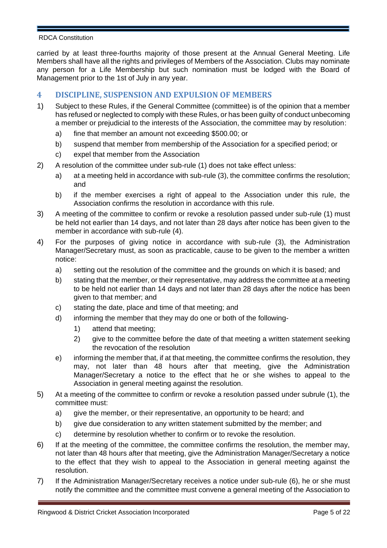carried by at least three-fourths majority of those present at the Annual General Meeting. Life Members shall have all the rights and privileges of Members of the Association. Clubs may nominate any person for a Life Membership but such nomination must be lodged with the Board of Management prior to the 1st of July in any year.

# **4 DISCIPLINE, SUSPENSION AND EXPULSION OF MEMBERS**

- 1) Subject to these Rules, if the General Committee (committee) is of the opinion that a member has refused or neglected to comply with these Rules, or has been guilty of conduct unbecoming a member or prejudicial to the interests of the Association, the committee may by resolution:
	- a) fine that member an amount not exceeding \$500.00; or
	- b) suspend that member from membership of the Association for a specified period; or
	- c) expel that member from the Association
- 2) A resolution of the committee under sub-rule (1) does not take effect unless:
	- a) at a meeting held in accordance with sub-rule (3), the committee confirms the resolution; and
	- b) if the member exercises a right of appeal to the Association under this rule, the Association confirms the resolution in accordance with this rule.
- 3) A meeting of the committee to confirm or revoke a resolution passed under sub-rule (1) must be held not earlier than 14 days, and not later than 28 days after notice has been given to the member in accordance with sub-rule (4).
- 4) For the purposes of giving notice in accordance with sub-rule (3), the Administration Manager/Secretary must, as soon as practicable, cause to be given to the member a written notice:
	- a) setting out the resolution of the committee and the grounds on which it is based; and
	- b) stating that the member, or their representative, may address the committee at a meeting to be held not earlier than 14 days and not later than 28 days after the notice has been given to that member; and
	- c) stating the date, place and time of that meeting; and
	- d) informing the member that they may do one or both of the following-
		- 1) attend that meeting;
		- 2) give to the committee before the date of that meeting a written statement seeking the revocation of the resolution
	- e) informing the member that, if at that meeting, the committee confirms the resolution, they may, not later than 48 hours after that meeting, give the Administration Manager/Secretary a notice to the effect that he or she wishes to appeal to the Association in general meeting against the resolution.
- 5) At a meeting of the committee to confirm or revoke a resolution passed under subrule (1), the committee must:
	- a) give the member, or their representative, an opportunity to be heard; and
	- b) give due consideration to any written statement submitted by the member; and
	- c) determine by resolution whether to confirm or to revoke the resolution.
- 6) If at the meeting of the committee, the committee confirms the resolution, the member may, not later than 48 hours after that meeting, give the Administration Manager/Secretary a notice to the effect that they wish to appeal to the Association in general meeting against the resolution.
- 7) If the Administration Manager/Secretary receives a notice under sub-rule (6), he or she must notify the committee and the committee must convene a general meeting of the Association to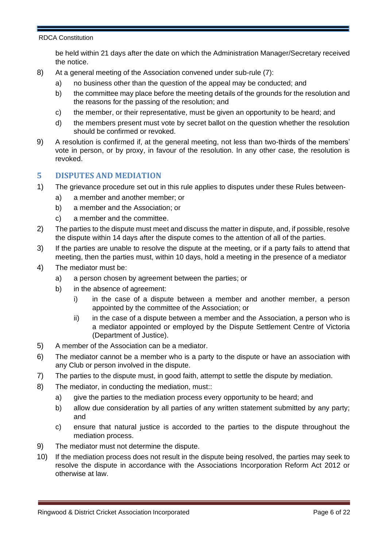be held within 21 days after the date on which the Administration Manager/Secretary received the notice.

- 8) At a general meeting of the Association convened under sub-rule (7):
	- a) no business other than the question of the appeal may be conducted; and
	- b) the committee may place before the meeting details of the grounds for the resolution and the reasons for the passing of the resolution; and
	- c) the member, or their representative, must be given an opportunity to be heard; and
	- d) the members present must vote by secret ballot on the question whether the resolution should be confirmed or revoked.
- 9) A resolution is confirmed if, at the general meeting, not less than two-thirds of the members' vote in person, or by proxy, in favour of the resolution. In any other case, the resolution is revoked.

## **5 DISPUTES AND MEDIATION**

- 1) The grievance procedure set out in this rule applies to disputes under these Rules between
	- a) a member and another member; or
	- b) a member and the Association; or
	- c) a member and the committee.
- 2) The parties to the dispute must meet and discuss the matter in dispute, and, if possible, resolve the dispute within 14 days after the dispute comes to the attention of all of the parties.
- 3) If the parties are unable to resolve the dispute at the meeting, or if a party fails to attend that meeting, then the parties must, within 10 days, hold a meeting in the presence of a mediator
- 4) The mediator must be:
	- a) a person chosen by agreement between the parties; or
	- b) in the absence of agreement:
		- i) in the case of a dispute between a member and another member, a person appointed by the committee of the Association; or
		- ii) in the case of a dispute between a member and the Association, a person who is a mediator appointed or employed by the Dispute Settlement Centre of Victoria (Department of Justice).
- 5) A member of the Association can be a mediator.
- 6) The mediator cannot be a member who is a party to the dispute or have an association with any Club or person involved in the dispute.
- 7) The parties to the dispute must, in good faith, attempt to settle the dispute by mediation.
- 8) The mediator, in conducting the mediation, must::
	- a) give the parties to the mediation process every opportunity to be heard; and
	- b) allow due consideration by all parties of any written statement submitted by any party; and
	- c) ensure that natural justice is accorded to the parties to the dispute throughout the mediation process.
- 9) The mediator must not determine the dispute.
- 10) If the mediation process does not result in the dispute being resolved, the parties may seek to resolve the dispute in accordance with the Associations Incorporation Reform Act 2012 or otherwise at law.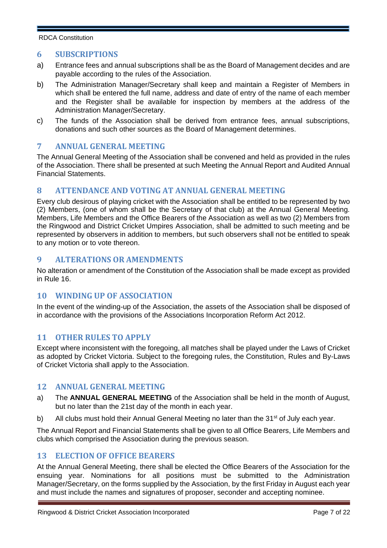## **6 SUBSCRIPTIONS**

- a) Entrance fees and annual subscriptions shall be as the Board of Management decides and are payable according to the rules of the Association.
- b) The Administration Manager/Secretary shall keep and maintain a Register of Members in which shall be entered the full name, address and date of entry of the name of each member and the Register shall be available for inspection by members at the address of the Administration Manager/Secretary.
- c) The funds of the Association shall be derived from entrance fees, annual subscriptions, donations and such other sources as the Board of Management determines.

## **7 ANNUAL GENERAL MEETING**

The Annual General Meeting of the Association shall be convened and held as provided in the rules of the Association. There shall be presented at such Meeting the Annual Report and Audited Annual Financial Statements.

# **8 ATTENDANCE AND VOTING AT ANNUAL GENERAL MEETING**

Every club desirous of playing cricket with the Association shall be entitled to be represented by two (2) Members, (one of whom shall be the Secretary of that club) at the Annual General Meeting. Members, Life Members and the Office Bearers of the Association as well as two (2) Members from the Ringwood and District Cricket Umpires Association, shall be admitted to such meeting and be represented by observers in addition to members, but such observers shall not be entitled to speak to any motion or to vote thereon.

# **9 ALTERATIONS OR AMENDMENTS**

No alteration or amendment of the Constitution of the Association shall be made except as provided in Rule 16.

# **10 WINDING UP OF ASSOCIATION**

In the event of the winding-up of the Association, the assets of the Association shall be disposed of in accordance with the provisions of the Associations Incorporation Reform Act 2012.

## **11 OTHER RULES TO APPLY**

Except where inconsistent with the foregoing, all matches shall be played under the Laws of Cricket as adopted by Cricket Victoria. Subject to the foregoing rules, the Constitution, Rules and By-Laws of Cricket Victoria shall apply to the Association.

#### **12 ANNUAL GENERAL MEETING**

- a) The **ANNUAL GENERAL MEETING** of the Association shall be held in the month of August, but no later than the 21st day of the month in each year.
- b) All clubs must hold their Annual General Meeting no later than the 31<sup>st</sup> of July each year.

The Annual Report and Financial Statements shall be given to all Office Bearers, Life Members and clubs which comprised the Association during the previous season.

#### **13 ELECTION OF OFFICE BEARERS**

At the Annual General Meeting, there shall be elected the Office Bearers of the Association for the ensuing year. Nominations for all positions must be submitted to the Administration Manager/Secretary, on the forms supplied by the Association, by the first Friday in August each year and must include the names and signatures of proposer, seconder and accepting nominee.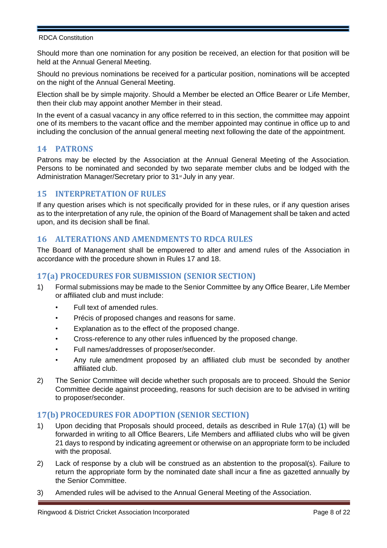Should more than one nomination for any position be received, an election for that position will be held at the Annual General Meeting.

Should no previous nominations be received for a particular position, nominations will be accepted on the night of the Annual General Meeting.

Election shall be by simple majority. Should a Member be elected an Office Bearer or Life Member, then their club may appoint another Member in their stead.

In the event of a casual vacancy in any office referred to in this section, the committee may appoint one of its members to the vacant office and the member appointed may continue in office up to and including the conclusion of the annual general meeting next following the date of the appointment.

## **14 PATRONS**

Patrons may be elected by the Association at the Annual General Meeting of the Association. Persons to be nominated and seconded by two separate member clubs and be lodged with the Administration Manager/Secretary prior to 31<sup>st</sup> July in any year.

## **15 INTERPRETATION OF RULES**

If any question arises which is not specifically provided for in these rules, or if any question arises as to the interpretation of any rule, the opinion of the Board of Management shall be taken and acted upon, and its decision shall be final.

## **16 ALTERATIONS AND AMENDMENTS TO RDCA RULES**

The Board of Management shall be empowered to alter and amend rules of the Association in accordance with the procedure shown in Rules 17 and 18.

# **17(a) PROCEDURES FOR SUBMISSION (SENIOR SECTION)**

- 1) Formal submissions may be made to the Senior Committee by any Office Bearer, Life Member or affiliated club and must include:
	- Full text of amended rules.
	- Précis of proposed changes and reasons for same.
	- Explanation as to the effect of the proposed change.
	- Cross-reference to any other rules influenced by the proposed change.
	- Full names/addresses of proposer/seconder.
	- Any rule amendment proposed by an affiliated club must be seconded by another affiliated club.
- 2) The Senior Committee will decide whether such proposals are to proceed. Should the Senior Committee decide against proceeding, reasons for such decision are to be advised in writing to proposer/seconder.

## **17(b) PROCEDURES FOR ADOPTION (SENIOR SECTION)**

- 1) Upon deciding that Proposals should proceed, details as described in Rule 17(a) (1) will be forwarded in writing to all Office Bearers, Life Members and affiliated clubs who will be given 21 days to respond by indicating agreement or otherwise on an appropriate form to be included with the proposal.
- 2) Lack of response by a club will be construed as an abstention to the proposal(s). Failure to return the appropriate form by the nominated date shall incur a fine as gazetted annually by the Senior Committee.
- 3) Amended rules will be advised to the Annual General Meeting of the Association.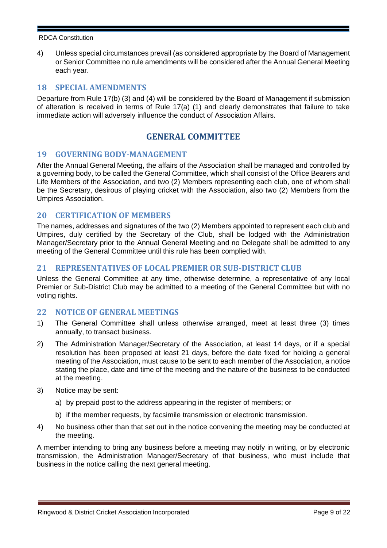4) Unless special circumstances prevail (as considered appropriate by the Board of Management or Senior Committee no rule amendments will be considered after the Annual General Meeting each year.

## **18 SPECIAL AMENDMENTS**

Departure from Rule 17(b) (3) and (4) will be considered by the Board of Management if submission of alteration is received in terms of Rule 17(a) (1) and clearly demonstrates that failure to take immediate action will adversely influence the conduct of Association Affairs.

# **GENERAL COMMITTEE**

## **19 GOVERNING BODY-MANAGEMENT**

After the Annual General Meeting, the affairs of the Association shall be managed and controlled by a governing body, to be called the General Committee, which shall consist of the Office Bearers and Life Members of the Association, and two (2) Members representing each club, one of whom shall be the Secretary, desirous of playing cricket with the Association, also two (2) Members from the Umpires Association.

## **20 CERTIFICATION OF MEMBERS**

The names, addresses and signatures of the two (2) Members appointed to represent each club and Umpires, duly certified by the Secretary of the Club, shall be lodged with the Administration Manager/Secretary prior to the Annual General Meeting and no Delegate shall be admitted to any meeting of the General Committee until this rule has been complied with.

## **21 REPRESENTATIVES OF LOCAL PREMIER OR SUB-DISTRICT CLUB**

Unless the General Committee at any time, otherwise determine, a representative of any local Premier or Sub-District Club may be admitted to a meeting of the General Committee but with no voting rights.

#### **22 NOTICE OF GENERAL MEETINGS**

- 1) The General Committee shall unless otherwise arranged, meet at least three (3) times annually, to transact business.
- 2) The Administration Manager/Secretary of the Association, at least 14 days, or if a special resolution has been proposed at least 21 days, before the date fixed for holding a general meeting of the Association, must cause to be sent to each member of the Association, a notice stating the place, date and time of the meeting and the nature of the business to be conducted at the meeting.
- 3) Notice may be sent:
	- a) by prepaid post to the address appearing in the register of members; or
	- b) if the member requests, by facsimile transmission or electronic transmission.
- 4) No business other than that set out in the notice convening the meeting may be conducted at the meeting.

A member intending to bring any business before a meeting may notify in writing, or by electronic transmission, the Administration Manager/Secretary of that business, who must include that business in the notice calling the next general meeting.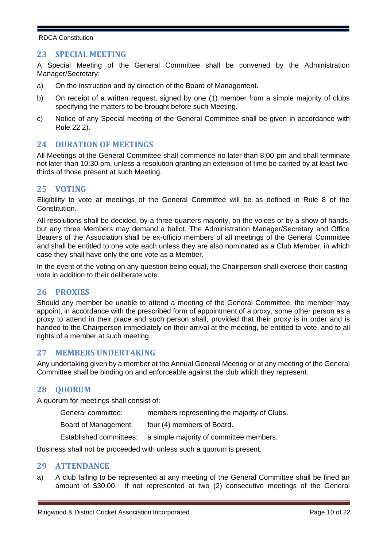## **23 SPECIAL MEETING**

A Special Meeting of the General Committee shall be convened by the Administration Manager/Secretary:

- a) On the instruction and by direction of the Board of Management.
- b) On receipt of a written request, signed by one (1) member from a simple majority of clubs specifying the matters to be brought before such Meeting.
- c) Notice of any Special meeting of the General Committee shall be given in accordance with Rule 22 2).

## **24 DURATION OF MEETINGS**

All Meetings of the General Committee shall commence no later than 8:00 pm and shall terminate not later than 10:30 pm, unless a resolution granting an extension of time be carried by at least twothirds of those present at such Meeting.

## **25 VOTING**

Eligibility to vote at meetings of the General Committee will be as defined in Rule 8 of the Constitution.

All resolutions shall be decided, by a three-quarters majority, on the voices or by a show of hands, but any three Members may demand a ballot. The Administration Manager/Secretary and Office Bearers of the Association shall be ex-officio members of all meetings of the General Committee and shall be entitled to one vote each unless they are also nominated as a Club Member, in which case they shall have only the one vote as a Member.

In the event of the voting on any question being equal, the Chairperson shall exercise their casting vote in addition to their deliberate vote.

#### **26 PROXIES**

Should any member be unable to attend a meeting of the General Committee, the member may appoint, in accordance with the prescribed form of appointment of a proxy, some other person as a proxy to attend in their place and such person shall, provided that their proxy is in order and is handed to the Chairperson immediately on their arrival at the meeting, be entitled to vote, and to all rights of a member at such meeting.

#### **27 MEMBERS UNDERTAKING**

Any undertaking given by a member at the Annual General Meeting or at any meeting of the General Committee shall be binding on and enforceable against the club which they represent.

#### **28 QUORUM**

A quorum for meetings shall consist of:

| General committee:   | members representing the majority of Clubs.                     |
|----------------------|-----------------------------------------------------------------|
| Board of Management: | four (4) members of Board.                                      |
|                      | Established committees: a simple majority of committee members. |

Business shall not be proceeded with unless such a quorum is present.

#### **29 ATTENDANCE**

a) A club failing to be represented at any meeting of the General Committee shall be fined an amount of \$30.00. If not represented at two (2) consecutive meetings of the General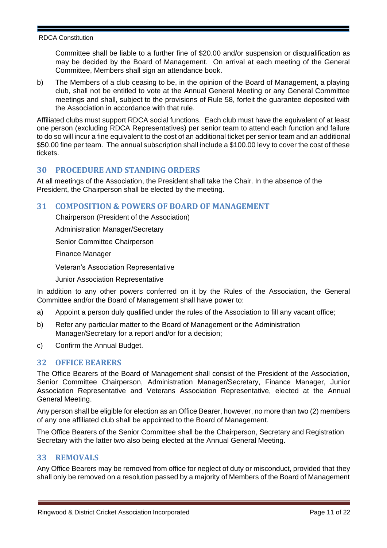Committee shall be liable to a further fine of \$20.00 and/or suspension or disqualification as may be decided by the Board of Management. On arrival at each meeting of the General Committee, Members shall sign an attendance book.

b) The Members of a club ceasing to be, in the opinion of the Board of Management, a playing club, shall not be entitled to vote at the Annual General Meeting or any General Committee meetings and shall, subject to the provisions of Rule 58, forfeit the guarantee deposited with the Association in accordance with that rule.

Affiliated clubs must support RDCA social functions. Each club must have the equivalent of at least one person (excluding RDCA Representatives) per senior team to attend each function and failure to do so will incur a fine equivalent to the cost of an additional ticket per senior team and an additional \$50.00 fine per team. The annual subscription shall include a \$100.00 levy to cover the cost of these tickets.

## **30 PROCEDURE AND STANDING ORDERS**

At all meetings of the Association, the President shall take the Chair. In the absence of the President, the Chairperson shall be elected by the meeting.

## **31 COMPOSITION & POWERS OF BOARD OF MANAGEMENT**

Chairperson (President of the Association)

Administration Manager/Secretary

Senior Committee Chairperson

Finance Manager

Veteran's Association Representative

Junior Association Representative

In addition to any other powers conferred on it by the Rules of the Association, the General Committee and/or the Board of Management shall have power to:

- a) Appoint a person duly qualified under the rules of the Association to fill any vacant office;
- b) Refer any particular matter to the Board of Management or the Administration Manager/Secretary for a report and/or for a decision;
- c) Confirm the Annual Budget.

## **32 OFFICE BEARERS**

The Office Bearers of the Board of Management shall consist of the President of the Association, Senior Committee Chairperson, Administration Manager/Secretary, Finance Manager, Junior Association Representative and Veterans Association Representative, elected at the Annual General Meeting.

Any person shall be eligible for election as an Office Bearer, however, no more than two (2) members of any one affiliated club shall be appointed to the Board of Management.

The Office Bearers of the Senior Committee shall be the Chairperson, Secretary and Registration Secretary with the latter two also being elected at the Annual General Meeting.

## **33 REMOVALS**

Any Office Bearers may be removed from office for neglect of duty or misconduct, provided that they shall only be removed on a resolution passed by a majority of Members of the Board of Management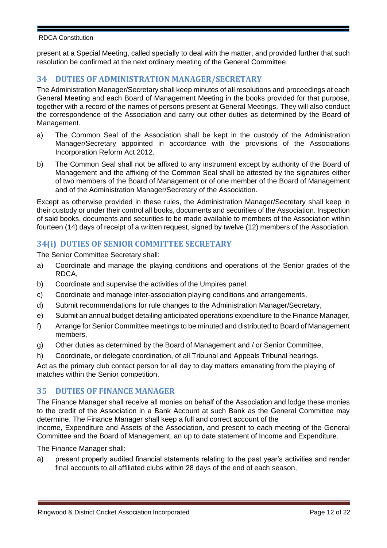present at a Special Meeting, called specially to deal with the matter, and provided further that such resolution be confirmed at the next ordinary meeting of the General Committee.

## **34 DUTIES OF ADMINISTRATION MANAGER/SECRETARY**

The Administration Manager/Secretary shall keep minutes of all resolutions and proceedings at each General Meeting and each Board of Management Meeting in the books provided for that purpose, together with a record of the names of persons present at General Meetings. They will also conduct the correspondence of the Association and carry out other duties as determined by the Board of Management.

- a) The Common Seal of the Association shall be kept in the custody of the Administration Manager/Secretary appointed in accordance with the provisions of the Associations Incorporation Reform Act 2012.
- b) The Common Seal shall not be affixed to any instrument except by authority of the Board of Management and the affixing of the Common Seal shall be attested by the signatures either of two members of the Board of Management or of one member of the Board of Management and of the Administration Manager/Secretary of the Association.

Except as otherwise provided in these rules, the Administration Manager/Secretary shall keep in their custody or under their control all books, documents and securities of the Association. Inspection of said books, documents and securities to be made available to members of the Association within fourteen (14) days of receipt of a written request, signed by twelve (12) members of the Association.

# **34(i) DUTIES OF SENIOR COMMITTEE SECRETARY**

The Senior Committee Secretary shall:

- a) Coordinate and manage the playing conditions and operations of the Senior grades of the RDCA,
- b) Coordinate and supervise the activities of the Umpires panel,
- c) Coordinate and manage inter-association playing conditions and arrangements,
- d) Submit recommendations for rule changes to the Administration Manager/Secretary,
- e) Submit an annual budget detailing anticipated operations expenditure to the Finance Manager,
- f) Arrange for Senior Committee meetings to be minuted and distributed to Board of Management members,
- g) Other duties as determined by the Board of Management and / or Senior Committee,
- h) Coordinate, or delegate coordination, of all Tribunal and Appeals Tribunal hearings.

Act as the primary club contact person for all day to day matters emanating from the playing of matches within the Senior competition.

## **35 DUTIES OF FINANCE MANAGER**

The Finance Manager shall receive all monies on behalf of the Association and lodge these monies to the credit of the Association in a Bank Account at such Bank as the General Committee may determine. The Finance Manager shall keep a full and correct account of the

Income, Expenditure and Assets of the Association, and present to each meeting of the General Committee and the Board of Management, an up to date statement of Income and Expenditure.

The Finance Manager shall:

a) present properly audited financial statements relating to the past year's activities and render final accounts to all affiliated clubs within 28 days of the end of each season,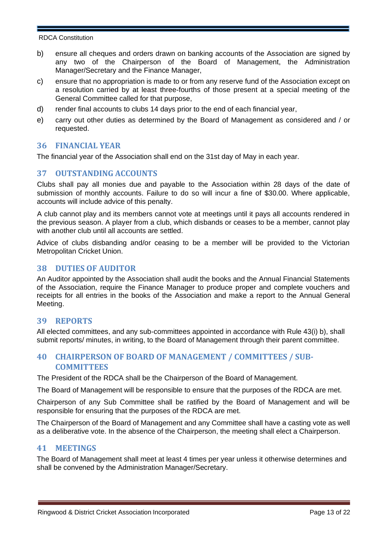- b) ensure all cheques and orders drawn on banking accounts of the Association are signed by any two of the Chairperson of the Board of Management, the Administration Manager/Secretary and the Finance Manager,
- c) ensure that no appropriation is made to or from any reserve fund of the Association except on a resolution carried by at least three-fourths of those present at a special meeting of the General Committee called for that purpose,
- d) render final accounts to clubs 14 days prior to the end of each financial year,
- e) carry out other duties as determined by the Board of Management as considered and / or requested.

## **36 FINANCIAL YEAR**

The financial year of the Association shall end on the 31st day of May in each year.

## **37 OUTSTANDING ACCOUNTS**

Clubs shall pay all monies due and payable to the Association within 28 days of the date of submission of monthly accounts. Failure to do so will incur a fine of \$30.00. Where applicable, accounts will include advice of this penalty.

A club cannot play and its members cannot vote at meetings until it pays all accounts rendered in the previous season. A player from a club, which disbands or ceases to be a member, cannot play with another club until all accounts are settled.

Advice of clubs disbanding and/or ceasing to be a member will be provided to the Victorian Metropolitan Cricket Union.

## **38 DUTIES OF AUDITOR**

An Auditor appointed by the Association shall audit the books and the Annual Financial Statements of the Association, require the Finance Manager to produce proper and complete vouchers and receipts for all entries in the books of the Association and make a report to the Annual General Meeting.

## **39 REPORTS**

All elected committees, and any sub-committees appointed in accordance with Rule 43(i) b), shall submit reports/ minutes, in writing, to the Board of Management through their parent committee.

# **40 CHAIRPERSON OF BOARD OF MANAGEMENT / COMMITTEES / SUB-COMMITTEES**

The President of the RDCA shall be the Chairperson of the Board of Management.

The Board of Management will be responsible to ensure that the purposes of the RDCA are met.

Chairperson of any Sub Committee shall be ratified by the Board of Management and will be responsible for ensuring that the purposes of the RDCA are met.

The Chairperson of the Board of Management and any Committee shall have a casting vote as well as a deliberative vote. In the absence of the Chairperson, the meeting shall elect a Chairperson.

#### **41 MEETINGS**

The Board of Management shall meet at least 4 times per year unless it otherwise determines and shall be convened by the Administration Manager/Secretary.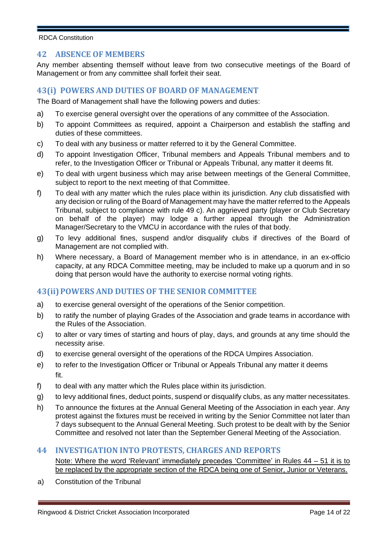## **42 ABSENCE OF MEMBERS**

Any member absenting themself without leave from two consecutive meetings of the Board of Management or from any committee shall forfeit their seat.

#### **43(i) POWERS AND DUTIES OF BOARD OF MANAGEMENT**

The Board of Management shall have the following powers and duties:

- a) To exercise general oversight over the operations of any committee of the Association.
- b) To appoint Committees as required, appoint a Chairperson and establish the staffing and duties of these committees.
- c) To deal with any business or matter referred to it by the General Committee.
- d) To appoint Investigation Officer, Tribunal members and Appeals Tribunal members and to refer, to the Investigation Officer or Tribunal or Appeals Tribunal, any matter it deems fit.
- e) To deal with urgent business which may arise between meetings of the General Committee, subject to report to the next meeting of that Committee.
- f) To deal with any matter which the rules place within its jurisdiction. Any club dissatisfied with any decision or ruling of the Board of Management may have the matter referred to the Appeals Tribunal, subject to compliance with rule 49 c). An aggrieved party (player or Club Secretary on behalf of the player) may lodge a further appeal through the Administration Manager/Secretary to the VMCU in accordance with the rules of that body.
- g) To levy additional fines, suspend and/or disqualify clubs if directives of the Board of Management are not complied with.
- h) Where necessary, a Board of Management member who is in attendance, in an ex-officio capacity, at any RDCA Committee meeting, may be included to make up a quorum and in so doing that person would have the authority to exercise normal voting rights.

## **43(ii)POWERS AND DUTIES OF THE SENIOR COMMITTEE**

- a) to exercise general oversight of the operations of the Senior competition.
- b) to ratify the number of playing Grades of the Association and grade teams in accordance with the Rules of the Association.
- c) to alter or vary times of starting and hours of play, days, and grounds at any time should the necessity arise.
- d) to exercise general oversight of the operations of the RDCA Umpires Association.
- e) to refer to the Investigation Officer or Tribunal or Appeals Tribunal any matter it deems fit.
- f) to deal with any matter which the Rules place within its jurisdiction.
- g) to levy additional fines, deduct points, suspend or disqualify clubs, as any matter necessitates.
- h) To announce the fixtures at the Annual General Meeting of the Association in each year. Any protest against the fixtures must be received in writing by the Senior Committee not later than 7 days subsequent to the Annual General Meeting. Such protest to be dealt with by the Senior Committee and resolved not later than the September General Meeting of the Association.

#### **44 INVESTIGATION INTO PROTESTS, CHARGES AND REPORTS**

Note: Where the word 'Relevant' immediately precedes 'Committee' in Rules 44 – 51 it is to be replaced by the appropriate section of the RDCA being one of Senior, Junior or Veterans.

a) Constitution of the Tribunal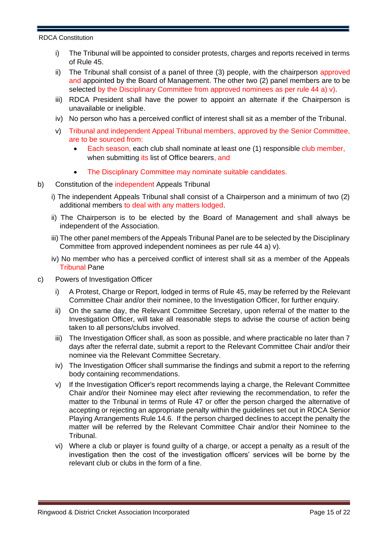- i) The Tribunal will be appointed to consider protests, charges and reports received in terms of Rule 45.
- ii) The Tribunal shall consist of a panel of three (3) people, with the chairperson approved and appointed by the Board of Management. The other two (2) panel members are to be selected by the Disciplinary Committee from approved nominees as per rule 44 a) v).
- iii) RDCA President shall have the power to appoint an alternate if the Chairperson is unavailable or ineligible.
- iv) No person who has a perceived conflict of interest shall sit as a member of the Tribunal.
- v) Tribunal and independent Appeal Tribunal members, approved by the Senior Committee, are to be sourced from:
	- Each season, each club shall nominate at least one (1) responsible club member, when submitting its list of Office bearers, and
	- The Disciplinary Committee may nominate suitable candidates.
- b) Constitution of the independent Appeals Tribunal
	- i) The independent Appeals Tribunal shall consist of a Chairperson and a minimum of two (2) additional members to deal with any matters lodged.
	- ii) The Chairperson is to be elected by the Board of Management and shall always be independent of the Association.
	- iii) The other panel members of the Appeals Tribunal Panel are to be selected by the Disciplinary Committee from approved independent nominees as per rule 44 a) v).
	- iv) No member who has a perceived conflict of interest shall sit as a member of the Appeals Tribunal Pane
- c) Powers of Investigation Officer
	- i) A Protest, Charge or Report, lodged in terms of Rule 45, may be referred by the Relevant Committee Chair and/or their nominee, to the Investigation Officer, for further enquiry.
	- ii) On the same day, the Relevant Committee Secretary, upon referral of the matter to the Investigation Officer, will take all reasonable steps to advise the course of action being taken to all persons/clubs involved.
	- iii) The Investigation Officer shall, as soon as possible, and where practicable no later than 7 days after the referral date, submit a report to the Relevant Committee Chair and/or their nominee via the Relevant Committee Secretary.
	- iv) The Investigation Officer shall summarise the findings and submit a report to the referring body containing recommendations.
	- v) If the Investigation Officer's report recommends laying a charge, the Relevant Committee Chair and/or their Nominee may elect after reviewing the recommendation, to refer the matter to the Tribunal in terms of Rule 47 or offer the person charged the alternative of accepting or rejecting an appropriate penalty within the guidelines set out in RDCA Senior Playing Arrangements Rule 14.6. If the person charged declines to accept the penalty the matter will be referred by the Relevant Committee Chair and/or their Nominee to the Tribunal.
	- vi) Where a club or player is found guilty of a charge, or accept a penalty as a result of the investigation then the cost of the investigation officers' services will be borne by the relevant club or clubs in the form of a fine.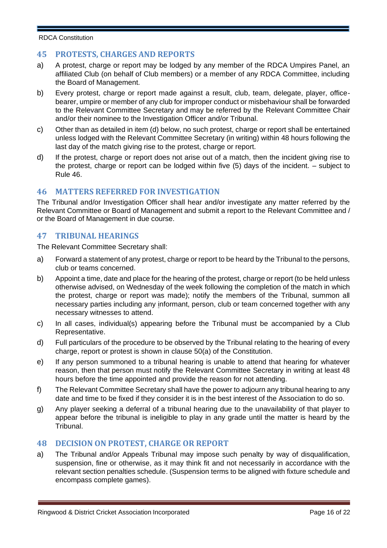## **45 PROTESTS, CHARGES AND REPORTS**

- a) A protest, charge or report may be lodged by any member of the RDCA Umpires Panel, an affiliated Club (on behalf of Club members) or a member of any RDCA Committee, including the Board of Management.
- b) Every protest, charge or report made against a result, club, team, delegate, player, officebearer, umpire or member of any club for improper conduct or misbehaviour shall be forwarded to the Relevant Committee Secretary and may be referred by the Relevant Committee Chair and/or their nominee to the Investigation Officer and/or Tribunal.
- c) Other than as detailed in item (d) below, no such protest, charge or report shall be entertained unless lodged with the Relevant Committee Secretary (in writing) within 48 hours following the last day of the match giving rise to the protest, charge or report.
- d) If the protest, charge or report does not arise out of a match, then the incident giving rise to the protest, charge or report can be lodged within five (5) days of the incident. – subject to Rule 46.

## **46 MATTERS REFERRED FOR INVESTIGATION**

The Tribunal and/or Investigation Officer shall hear and/or investigate any matter referred by the Relevant Committee or Board of Management and submit a report to the Relevant Committee and / or the Board of Management in due course.

## **47 TRIBUNAL HEARINGS**

The Relevant Committee Secretary shall:

- a) Forward a statement of any protest, charge or report to be heard by the Tribunal to the persons, club or teams concerned.
- b) Appoint a time, date and place for the hearing of the protest, charge or report (to be held unless otherwise advised, on Wednesday of the week following the completion of the match in which the protest, charge or report was made); notify the members of the Tribunal, summon all necessary parties including any informant, person, club or team concerned together with any necessary witnesses to attend.
- c) In all cases, individual(s) appearing before the Tribunal must be accompanied by a Club Representative.
- d) Full particulars of the procedure to be observed by the Tribunal relating to the hearing of every charge, report or protest is shown in clause 50(a) of the Constitution.
- e) If any person summoned to a tribunal hearing is unable to attend that hearing for whatever reason, then that person must notify the Relevant Committee Secretary in writing at least 48 hours before the time appointed and provide the reason for not attending.
- f) The Relevant Committee Secretary shall have the power to adjourn any tribunal hearing to any date and time to be fixed if they consider it is in the best interest of the Association to do so.
- g) Any player seeking a deferral of a tribunal hearing due to the unavailability of that player to appear before the tribunal is ineligible to play in any grade until the matter is heard by the Tribunal.

#### **48 DECISION ON PROTEST, CHARGE OR REPORT**

a) The Tribunal and/or Appeals Tribunal may impose such penalty by way of disqualification, suspension, fine or otherwise, as it may think fit and not necessarily in accordance with the relevant section penalties schedule. (Suspension terms to be aligned with fixture schedule and encompass complete games).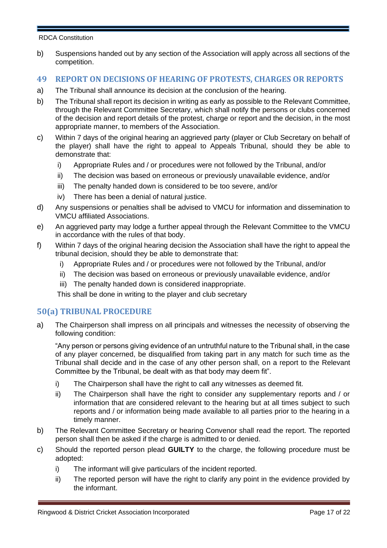b) Suspensions handed out by any section of the Association will apply across all sections of the competition.

## **49 REPORT ON DECISIONS OF HEARING OF PROTESTS, CHARGES OR REPORTS**

- a) The Tribunal shall announce its decision at the conclusion of the hearing.
- b) The Tribunal shall report its decision in writing as early as possible to the Relevant Committee, through the Relevant Committee Secretary, which shall notify the persons or clubs concerned of the decision and report details of the protest, charge or report and the decision, in the most appropriate manner, to members of the Association.
- c) Within 7 days of the original hearing an aggrieved party (player or Club Secretary on behalf of the player) shall have the right to appeal to Appeals Tribunal, should they be able to demonstrate that:
	- i) Appropriate Rules and / or procedures were not followed by the Tribunal, and/or
	- ii) The decision was based on erroneous or previously unavailable evidence, and/or
	- iii) The penalty handed down is considered to be too severe, and/or
	- iv) There has been a denial of natural justice.
- d) Any suspensions or penalties shall be advised to VMCU for information and dissemination to VMCU affiliated Associations.
- e) An aggrieved party may lodge a further appeal through the Relevant Committee to the VMCU in accordance with the rules of that body.
- f) Within 7 days of the original hearing decision the Association shall have the right to appeal the tribunal decision, should they be able to demonstrate that:
	- i) Appropriate Rules and / or procedures were not followed by the Tribunal, and/or
	- ii) The decision was based on erroneous or previously unavailable evidence, and/or
	- iii) The penalty handed down is considered inappropriate.

This shall be done in writing to the player and club secretary

## **50(a) TRIBUNAL PROCEDURE**

a) The Chairperson shall impress on all principals and witnesses the necessity of observing the following condition:

"Any person or persons giving evidence of an untruthful nature to the Tribunal shall, in the case of any player concerned, be disqualified from taking part in any match for such time as the Tribunal shall decide and in the case of any other person shall, on a report to the Relevant Committee by the Tribunal, be dealt with as that body may deem fit".

- i) The Chairperson shall have the right to call any witnesses as deemed fit.
- ii) The Chairperson shall have the right to consider any supplementary reports and / or information that are considered relevant to the hearing but at all times subject to such reports and / or information being made available to all parties prior to the hearing in a timely manner.
- b) The Relevant Committee Secretary or hearing Convenor shall read the report. The reported person shall then be asked if the charge is admitted to or denied.
- c) Should the reported person plead **GUILTY** to the charge, the following procedure must be adopted:
	- i) The informant will give particulars of the incident reported.
	- ii) The reported person will have the right to clarify any point in the evidence provided by the informant.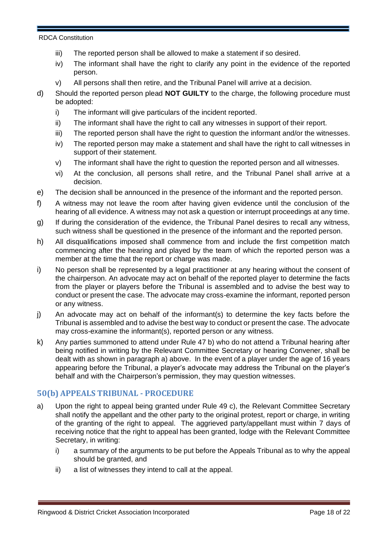- iii) The reported person shall be allowed to make a statement if so desired.
- iv) The informant shall have the right to clarify any point in the evidence of the reported person.
- v) All persons shall then retire, and the Tribunal Panel will arrive at a decision.
- d) Should the reported person plead **NOT GUILTY** to the charge, the following procedure must be adopted:
	- i) The informant will give particulars of the incident reported.
	- ii) The informant shall have the right to call any witnesses in support of their report.
	- iii) The reported person shall have the right to question the informant and/or the witnesses.
	- iv) The reported person may make a statement and shall have the right to call witnesses in support of their statement.
	- v) The informant shall have the right to question the reported person and all witnesses.
	- vi) At the conclusion, all persons shall retire, and the Tribunal Panel shall arrive at a decision.
- e) The decision shall be announced in the presence of the informant and the reported person.
- f) A witness may not leave the room after having given evidence until the conclusion of the hearing of all evidence. A witness may not ask a question or interrupt proceedings at any time.
- g) If during the consideration of the evidence, the Tribunal Panel desires to recall any witness, such witness shall be questioned in the presence of the informant and the reported person.
- h) All disqualifications imposed shall commence from and include the first competition match commencing after the hearing and played by the team of which the reported person was a member at the time that the report or charge was made.
- i) No person shall be represented by a legal practitioner at any hearing without the consent of the chairperson. An advocate may act on behalf of the reported player to determine the facts from the player or players before the Tribunal is assembled and to advise the best way to conduct or present the case. The advocate may cross-examine the informant, reported person or any witness.
- j) An advocate may act on behalf of the informant(s) to determine the key facts before the Tribunal is assembled and to advise the best way to conduct or present the case. The advocate may cross-examine the informant(s), reported person or any witness.
- k) Any parties summoned to attend under Rule 47 b) who do not attend a Tribunal hearing after being notified in writing by the Relevant Committee Secretary or hearing Convener, shall be dealt with as shown in paragraph a) above. In the event of a player under the age of 16 years appearing before the Tribunal, a player's advocate may address the Tribunal on the player's behalf and with the Chairperson's permission, they may question witnesses.

# **50(b) APPEALS TRIBUNAL - PROCEDURE**

- a) Upon the right to appeal being granted under Rule 49 c), the Relevant Committee Secretary shall notify the appellant and the other party to the original protest, report or charge, in writing of the granting of the right to appeal. The aggrieved party/appellant must within 7 days of receiving notice that the right to appeal has been granted, lodge with the Relevant Committee Secretary, in writing:
	- i) a summary of the arguments to be put before the Appeals Tribunal as to why the appeal should be granted, and
	- ii) a list of witnesses they intend to call at the appeal.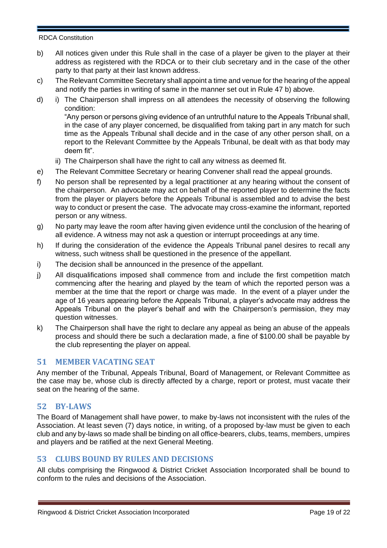- b) All notices given under this Rule shall in the case of a player be given to the player at their address as registered with the RDCA or to their club secretary and in the case of the other party to that party at their last known address.
- c) The Relevant Committee Secretary shall appoint a time and venue for the hearing of the appeal and notify the parties in writing of same in the manner set out in Rule 47 b) above.
- d) i) The Chairperson shall impress on all attendees the necessity of observing the following condition:

"Any person or persons giving evidence of an untruthful nature to the Appeals Tribunal shall, in the case of any player concerned, be disqualified from taking part in any match for such time as the Appeals Tribunal shall decide and in the case of any other person shall, on a report to the Relevant Committee by the Appeals Tribunal, be dealt with as that body may deem fit".

- ii) The Chairperson shall have the right to call any witness as deemed fit.
- e) The Relevant Committee Secretary or hearing Convener shall read the appeal grounds.
- f) No person shall be represented by a legal practitioner at any hearing without the consent of the chairperson. An advocate may act on behalf of the reported player to determine the facts from the player or players before the Appeals Tribunal is assembled and to advise the best way to conduct or present the case. The advocate may cross-examine the informant, reported person or any witness.
- g) No party may leave the room after having given evidence until the conclusion of the hearing of all evidence. A witness may not ask a question or interrupt proceedings at any time.
- h) If during the consideration of the evidence the Appeals Tribunal panel desires to recall any witness, such witness shall be questioned in the presence of the appellant.
- i) The decision shall be announced in the presence of the appellant.
- j) All disqualifications imposed shall commence from and include the first competition match commencing after the hearing and played by the team of which the reported person was a member at the time that the report or charge was made. In the event of a player under the age of 16 years appearing before the Appeals Tribunal, a player's advocate may address the Appeals Tribunal on the player's behalf and with the Chairperson's permission, they may question witnesses.
- k) The Chairperson shall have the right to declare any appeal as being an abuse of the appeals process and should there be such a declaration made, a fine of \$100.00 shall be payable by the club representing the player on appeal.

## **51 MEMBER VACATING SEAT**

Any member of the Tribunal, Appeals Tribunal, Board of Management, or Relevant Committee as the case may be, whose club is directly affected by a charge, report or protest, must vacate their seat on the hearing of the same.

#### **52 BY-LAWS**

The Board of Management shall have power, to make by-laws not inconsistent with the rules of the Association. At least seven (7) days notice, in writing, of a proposed by-law must be given to each club and any by-laws so made shall be binding on all office-bearers, clubs, teams, members, umpires and players and be ratified at the next General Meeting.

# **53 CLUBS BOUND BY RULES AND DECISIONS**

All clubs comprising the Ringwood & District Cricket Association Incorporated shall be bound to conform to the rules and decisions of the Association.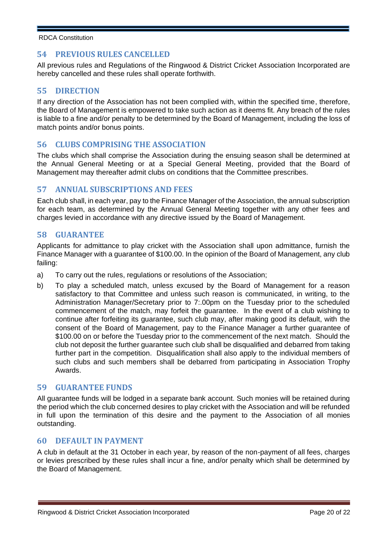## **54 PREVIOUS RULES CANCELLED**

All previous rules and Regulations of the Ringwood & District Cricket Association Incorporated are hereby cancelled and these rules shall operate forthwith.

## **55 DIRECTION**

If any direction of the Association has not been complied with, within the specified time, therefore, the Board of Management is empowered to take such action as it deems fit. Any breach of the rules is liable to a fine and/or penalty to be determined by the Board of Management, including the loss of match points and/or bonus points.

# **56 CLUBS COMPRISING THE ASSOCIATION**

The clubs which shall comprise the Association during the ensuing season shall be determined at the Annual General Meeting or at a Special General Meeting, provided that the Board of Management may thereafter admit clubs on conditions that the Committee prescribes.

## **57 ANNUAL SUBSCRIPTIONS AND FEES**

Each club shall, in each year, pay to the Finance Manager of the Association, the annual subscription for each team, as determined by the Annual General Meeting together with any other fees and charges levied in accordance with any directive issued by the Board of Management.

## **58 GUARANTEE**

Applicants for admittance to play cricket with the Association shall upon admittance, furnish the Finance Manager with a guarantee of \$100.00. In the opinion of the Board of Management, any club failing:

- a) To carry out the rules, regulations or resolutions of the Association;
- b) To play a scheduled match, unless excused by the Board of Management for a reason satisfactory to that Committee and unless such reason is communicated, in writing, to the Administration Manager/Secretary prior to 7:.00pm on the Tuesday prior to the scheduled commencement of the match, may forfeit the guarantee. In the event of a club wishing to continue after forfeiting its guarantee, such club may, after making good its default, with the consent of the Board of Management, pay to the Finance Manager a further guarantee of \$100.00 on or before the Tuesday prior to the commencement of the next match. Should the club not deposit the further guarantee such club shall be disqualified and debarred from taking further part in the competition. Disqualification shall also apply to the individual members of such clubs and such members shall be debarred from participating in Association Trophy Awards.

## **59 GUARANTEE FUNDS**

All guarantee funds will be lodged in a separate bank account. Such monies will be retained during the period which the club concerned desires to play cricket with the Association and will be refunded in full upon the termination of this desire and the payment to the Association of all monies outstanding.

#### **60 DEFAULT IN PAYMENT**

A club in default at the 31 October in each year, by reason of the non-payment of all fees, charges or levies prescribed by these rules shall incur a fine, and/or penalty which shall be determined by the Board of Management.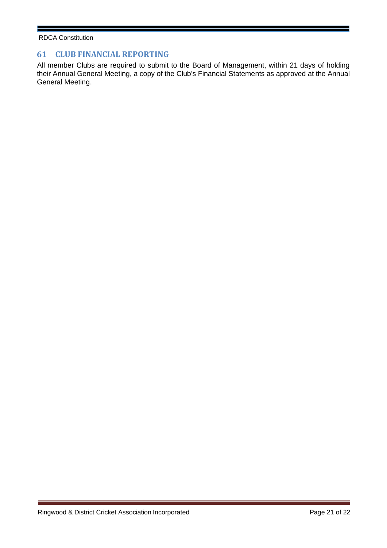# **61 CLUB FINANCIAL REPORTING**

All member Clubs are required to submit to the Board of Management, within 21 days of holding their Annual General Meeting, a copy of the Club's Financial Statements as approved at the Annual General Meeting.